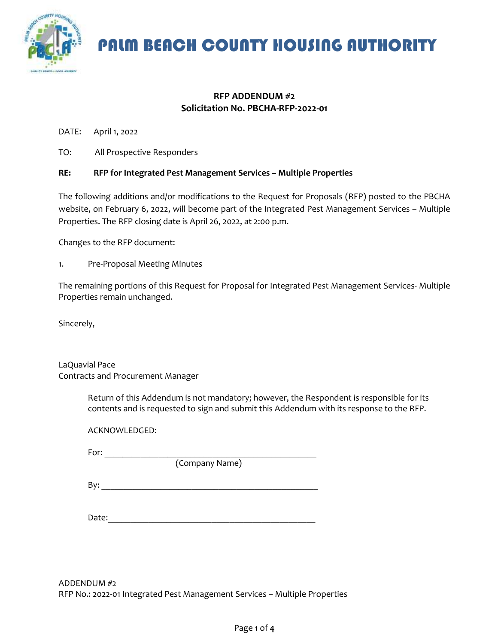

### **RFP ADDENDUM #2 Solicitation No. PBCHA-RFP-2022-01**

DATE: April 1, 2022

TO: All Prospective Responders

### **RE: RFP for Integrated Pest Management Services – Multiple Properties**

The following additions and/or modifications to the Request for Proposals (RFP) posted to the PBCHA website, on February 6, 2022, will become part of the Integrated Pest Management Services – Multiple Properties. The RFP closing date is April 26, 2022, at 2:00 p.m.

Changes to the RFP document:

1. Pre-Proposal Meeting Minutes

The remaining portions of this Request for Proposal for Integrated Pest Management Services- Multiple Properties remain unchanged.

Sincerely,

LaQuavial Pace Contracts and Procurement Manager

> Return of this Addendum is not mandatory; however, the Respondent is responsible for its contents and is requested to sign and submit this Addendum with its response to the RFP.

| ACKNOWLEDGED:       |                |  |
|---------------------|----------------|--|
| For:                |                |  |
|                     | (Company Name) |  |
| By: $\qquad \qquad$ |                |  |
| Date:               |                |  |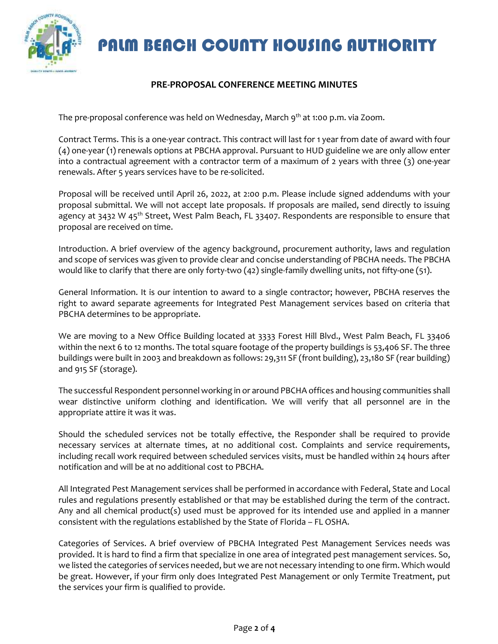

### **PRE-PROPOSAL CONFERENCE MEETING MINUTES**

The pre-proposal conference was held on Wednesday, March 9<sup>th</sup> at 1:00 p.m. via Zoom.

Contract Terms. This is a one-year contract. This contract will last for 1 year from date of award with four (4) one-year (1) renewals options at PBCHA approval. Pursuant to HUD guideline we are only allow enter into a contractual agreement with a contractor term of a maximum of 2 years with three (3) one-year renewals. After 5 years services have to be re-solicited.

Proposal will be received until April 26, 2022, at 2:00 p.m. Please include signed addendums with your proposal submittal. We will not accept late proposals. If proposals are mailed, send directly to issuing agency at 3432 W 45<sup>th</sup> Street, West Palm Beach, FL 33407. Respondents are responsible to ensure that proposal are received on time.

Introduction. A brief overview of the agency background, procurement authority, laws and regulation and scope of services was given to provide clear and concise understanding of PBCHA needs. The PBCHA would like to clarify that there are only forty-two (42) single-family dwelling units, not fifty-one (51).

General Information. It is our intention to award to a single contractor; however, PBCHA reserves the right to award separate agreements for Integrated Pest Management services based on criteria that PBCHA determines to be appropriate.

We are moving to a New Office Building located at 3333 Forest Hill Blvd., West Palm Beach, FL 33406 within the next 6 to 12 months. The total square footage of the property buildings is 53,406 SF. The three buildings were built in 2003 and breakdown as follows: 29,311 SF (front building), 23,180 SF (rear building) and 915 SF (storage).

The successful Respondent personnel working in or around PBCHA offices and housing communities shall wear distinctive uniform clothing and identification. We will verify that all personnel are in the appropriate attire it was it was.

Should the scheduled services not be totally effective, the Responder shall be required to provide necessary services at alternate times, at no additional cost. Complaints and service requirements, including recall work required between scheduled services visits, must be handled within 24 hours after notification and will be at no additional cost to PBCHA.

All Integrated Pest Management services shall be performed in accordance with Federal, State and Local rules and regulations presently established or that may be established during the term of the contract. Any and all chemical product(s) used must be approved for its intended use and applied in a manner consistent with the regulations established by the State of Florida – FL OSHA.

Categories of Services. A brief overview of PBCHA Integrated Pest Management Services needs was provided. It is hard to find a firm that specialize in one area of integrated pest management services. So, we listed the categories of services needed, but we are not necessary intending to one firm. Which would be great. However, if your firm only does Integrated Pest Management or only Termite Treatment, put the services your firm is qualified to provide.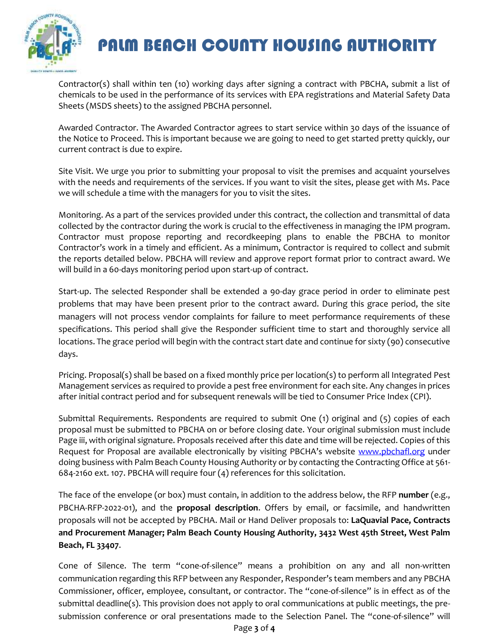

Contractor(s) shall within ten (10) working days after signing a contract with PBCHA, submit a list of chemicals to be used in the performance of its services with EPA registrations and Material Safety Data Sheets (MSDS sheets) to the assigned PBCHA personnel.

Awarded Contractor. The Awarded Contractor agrees to start service within 30 days of the issuance of the Notice to Proceed. This is important because we are going to need to get started pretty quickly, our current contract is due to expire.

Site Visit. We urge you prior to submitting your proposal to visit the premises and acquaint yourselves with the needs and requirements of the services. If you want to visit the sites, please get with Ms. Pace we will schedule a time with the managers for you to visit the sites.

Monitoring. As a part of the services provided under this contract, the collection and transmittal of data collected by the contractor during the work is crucial to the effectiveness in managing the IPM program. Contractor must propose reporting and recordkeeping plans to enable the PBCHA to monitor Contractor's work in a timely and efficient. As a minimum, Contractor is required to collect and submit the reports detailed below. PBCHA will review and approve report format prior to contract award. We will build in a 60-days monitoring period upon start-up of contract.

Start-up. The selected Responder shall be extended a 90-day grace period in order to eliminate pest problems that may have been present prior to the contract award. During this grace period, the site managers will not process vendor complaints for failure to meet performance requirements of these specifications. This period shall give the Responder sufficient time to start and thoroughly service all locations. The grace period will begin with the contract start date and continue for sixty (90) consecutive days.

Pricing. Proposal(s) shall be based on a fixed monthly price per location(s) to perform all Integrated Pest Management services as required to provide a pest free environment for each site. Any changes in prices after initial contract period and for subsequent renewals will be tied to Consumer Price Index (CPI).

Submittal Requirements. Respondents are required to submit One (1) original and (5) copies of each proposal must be submitted to PBCHA on or before closing date. Your original submission must include Page iii, with original signature. Proposals received after this date and time will be rejected. Copies of this Request for Proposal are available electronically by visiting PBCHA's website [www.pbchafl.org](http://www.pbchafl.org/) under doing business with Palm Beach County Housing Authority or by contacting the Contracting Office at 561- 684-2160 ext. 107. PBCHA will require four (4) references for this solicitation.

The face of the envelope (or box) must contain, in addition to the address below, the RFP **number** (e.g., PBCHA-RFP-2022-01), and the **proposal description**. Offers by email, or facsimile, and handwritten proposals will not be accepted by PBCHA. Mail or Hand Deliver proposals to: **LaQuavial Pace, Contracts and Procurement Manager; Palm Beach County Housing Authority, 3432 West 45th Street, West Palm Beach, FL 33407**.

Cone of Silence. The term "cone-of-silence" means a prohibition on any and all non-written communication regarding this RFP between any Responder, Responder's team members and any PBCHA Commissioner, officer, employee, consultant, or contractor. The "cone-of-silence" is in effect as of the submittal deadline(s). This provision does not apply to oral communications at public meetings, the presubmission conference or oral presentations made to the Selection Panel. The "cone-of-silence" will